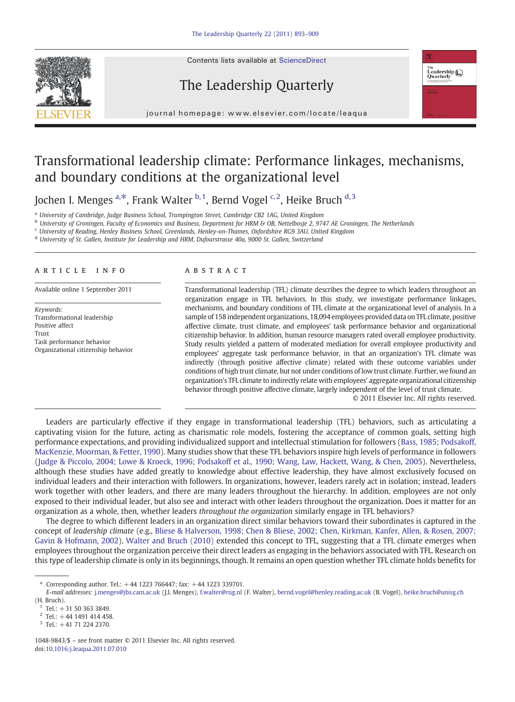Contents lists available at ScienceDirect

## The Leadership Quarterly



j o u r n a g e  $\mathbf{r}$  . We are even if  $\mathbf{r}$  is even  $\mathbf{r}$  and  $\mathbf{r}$  and  $\mathbf{r}$  and  $\mathbf{r}$  and  $\mathbf{r}$  and  $\mathbf{r}$  and  $\mathbf{r}$  and  $\mathbf{r}$  and  $\mathbf{r}$  and  $\mathbf{r}$  and  $\mathbf{r}$  and  $\mathbf{r}$  and  $\mathbf{r$ 

## Transformational leadership climate: Performance linkages, mechanisms, and boundary conditions at the organizational level

Jochen I. Menges  $a, *$ , Frank Walter  $b, 1$ , Bernd Vogel  $c, 2$ , Heike Bruch  $d, 3$ 

<sup>a</sup> University of Cambridge, Judge Business School, Trumpington Street, Cambridge CB2 1AG, United Kingdom

<sup>b</sup> University of Groningen, Faculty of Economics and Business, Department for HRM & OB, Nettelbosje 2, 9747 AE Groningen, The Netherlands

<sup>c</sup> University of Reading, Henley Business School, Greenlands, Henley-on-Thames, Oxfordshire RG9 3AU, United Kingdom

<sup>d</sup> University of St. Gallen, Institute for Leadership and HRM, Dufourstrasse 40a, 9000 St. Gallen, Switzerland

### article info abstract

Keywords: Transformational leadership Positive affect Trust Task performance behavior Organizational citizenship behavior

Available online 1 September 2011 Transformational leadership (TFL) climate describes the degree to which leaders throughout an organization engage in TFL behaviors. In this study, we investigate performance linkages, mechanisms, and boundary conditions of TFL climate at the organizational level of analysis. In a sample of 158 independent organizations, 18,094 employees provided data on TFL climate, positive affective climate, trust climate, and employees' task performance behavior and organizational citizenship behavior. In addition, human resource managers rated overall employee productivity. Study results yielded a pattern of moderated mediation for overall employee productivity and employees' aggregate task performance behavior, in that an organization's TFL climate was indirectly (through positive affective climate) related with these outcome variables under conditions of high trust climate, but not under conditions of low trust climate. Further, we found an organization's TFL climate to indirectly relate with employees' aggregate organizational citizenship behavior through positive affective climate, largely independent of the level of trust climate.

© 2011 Elsevier Inc. All rights reserved.

Leaders are particularly effective if they engage in transformational leadership (TFL) behaviors, such as articulating a captivating vision for the future, acting as charismatic role models, fostering the acceptance of common goals, setting high performance expectations, and providing individualized support and intellectual stimulation for followers ([Bass, 1985; Podsakoff,](#page--1-0) [MacKenzie, Moorman, & Fetter, 1990\)](#page--1-0). Many studies show that these TFL behaviors inspire high levels of performance in followers [\(Judge & Piccolo, 2004; Lowe & Kroeck, 1996; Podsakoff et al., 1990; Wang, Law, Hackett, Wang, & Chen, 2005](#page--1-0)). Nevertheless, although these studies have added greatly to knowledge about effective leadership, they have almost exclusively focused on individual leaders and their interaction with followers. In organizations, however, leaders rarely act in isolation; instead, leaders work together with other leaders, and there are many leaders throughout the hierarchy. In addition, employees are not only exposed to their individual leader, but also see and interact with other leaders throughout the organization. Does it matter for an organization as a whole, then, whether leaders throughout the organization similarly engage in TFL behaviors?

The degree to which different leaders in an organization direct similar behaviors toward their subordinates is captured in the concept of leadership climate (e.g., [Bliese & Halverson, 1998; Chen & Bliese, 2002; Chen, Kirkman, Kanfer, Allen, & Rosen, 2007;](#page--1-0) [Gavin & Hofmann, 2002](#page--1-0)). [Walter and Bruch \(2010\)](#page--1-0) extended this concept to TFL, suggesting that a TFL climate emerges when employees throughout the organization perceive their direct leaders as engaging in the behaviors associated with TFL. Research on this type of leadership climate is only in its beginnings, though. It remains an open question whether TFL climate holds benefits for

<sup>⁎</sup> Corresponding author. Tel.: +44 1223 766447; fax: +44 1223 339701.

E-mail addresses: [j.menges@jbs.cam.ac.uk](mailto:j.menges@jbs.cam.ac.uk) (J.I. Menges), [f.walter@rug.nl](mailto:f.walter@rug.nl) (F. Walter), [bernd.vogel@henley.reading.ac.uk](mailto:bernd.vogel@henley.reading.ac.uk) (B. Vogel), [heike.bruch@unisg.ch](mailto:heike.bruch@unisg.ch) (H. Bruch).

 $1$  Tel.:  $+31$  50 363 3849.

 $2$  Tel.:  $+44$  1491 414 458.

 $3$  Tel.:  $+41$  71 224 2370.

<sup>1048-9843/\$</sup> – see front matter © 2011 Elsevier Inc. All rights reserved. doi[:10.1016/j.leaqua.2011.07.010](http://dx.doi.org/10.1016/j.leaqua.2011.07.010)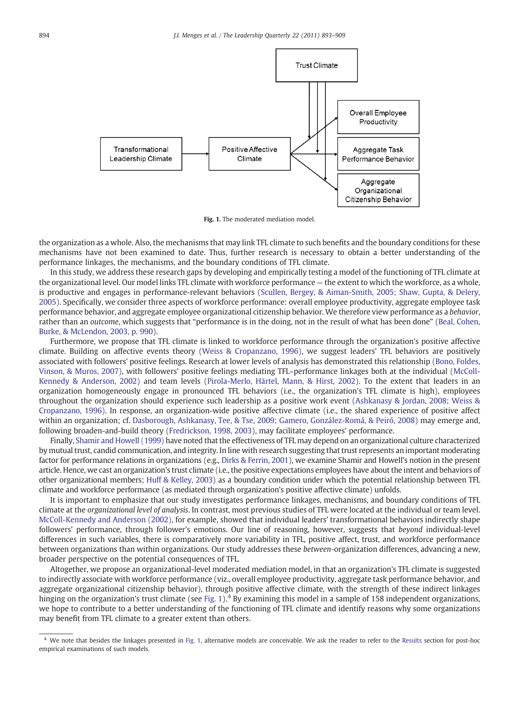

Fig. 1. The moderated mediation model.

the organization as a whole. Also, the mechanisms that may link TFL climate to such benefits and the boundary conditions for these mechanisms have not been examined to date. Thus, further research is necessary to obtain a better understanding of the performance linkages, the mechanisms, and the boundary conditions of TFL climate.

In this study, we address these research gaps by developing and empirically testing a model of the functioning of TFL climate at the organizational level. Our model links TFL climate with workforce performance — the extent to which the workforce, as a whole, is productive and engages in performance-relevant behaviors ([Scullen, Bergey, & Aiman-Smith, 2005; Shaw, Gupta, & Delery,](#page--1-0) [2005](#page--1-0)). Specifically, we consider three aspects of workforce performance: overall employee productivity, aggregate employee task performance behavior, and aggregate employee organizational citizenship behavior. We therefore view performance as a behavior, rather than an outcome, which suggests that "performance is in the doing, not in the result of what has been done" ([Beal, Cohen,](#page--1-0) [Burke, & McLendon, 2003, p. 990\)](#page--1-0).

Furthermore, we propose that TFL climate is linked to workforce performance through the organization's positive affective climate. Building on affective events theory ([Weiss & Cropanzano, 1996](#page--1-0)), we suggest leaders' TFL behaviors are positively associated with followers' positive feelings. Research at lower levels of analysis has demonstrated this relationship [\(Bono, Foldes,](#page--1-0) [Vinson, & Muros, 2007](#page--1-0)), with followers' positive feelings mediating TFL–performance linkages both at the individual [\(McColl-](#page--1-0)[Kennedy & Anderson, 2002\)](#page--1-0) and team levels [\(Pirola-Merlo, Härtel, Mann, & Hirst, 2002\)](#page--1-0). To the extent that leaders in an organization homogeneously engage in pronounced TFL behaviors (i.e., the organization's TFL climate is high), employees throughout the organization should experience such leadership as a positive work event ([Ashkanasy & Jordan, 2008; Weiss &](#page--1-0) [Cropanzano, 1996\)](#page--1-0). In response, an organization-wide positive affective climate (i.e., the shared experience of positive affect within an organization; cf. [Dasborough, Ashkanasy, Tee, & Tse, 2009; Gamero, González-Romá, & Peiró, 2008](#page--1-0)) may emerge and, following broaden-and-build theory ([Fredrickson, 1998, 2003](#page--1-0)), may facilitate employees' performance.

Finally, [Shamir and Howell \(1999\)](#page--1-0) have noted that the effectiveness of TFL may depend on an organizational culture characterized by mutual trust, candid communication, and integrity. In line with research suggesting that trust represents an important moderating factor for performance relations in organizations (e.g., [Dirks & Ferrin, 2001\)](#page--1-0), we examine Shamir and Howell's notion in the present article. Hence, we cast an organization's trust climate (i.e., the positive expectations employees have about the intent and behaviors of other organizational members; [Huff & Kelley, 2003\)](#page--1-0) as a boundary condition under which the potential relationship between TFL climate and workforce performance (as mediated through organization's positive affective climate) unfolds.

It is important to emphasize that our study investigates performance linkages, mechanisms, and boundary conditions of TFL climate at the organizational level of analysis. In contrast, most previous studies of TFL were located at the individual or team level. [McColl-Kennedy and Anderson \(2002\)](#page--1-0), for example, showed that individual leaders' transformational behaviors indirectly shape followers' performance, through follower's emotions. Our line of reasoning, however, suggests that beyond individual-level differences in such variables, there is comparatively more variability in TFL, positive affect, trust, and workforce performance between organizations than within organizations. Our study addresses these between-organization differences, advancing a new, broader perspective on the potential consequences of TFL.

Altogether, we propose an organizational-level moderated mediation model, in that an organization's TFL climate is suggested to indirectly associate with workforce performance (viz., overall employee productivity, aggregate task performance behavior, and aggregate organizational citizenship behavior), through positive affective climate, with the strength of these indirect linkages hinging on the organization's trust climate (see Fig.  $1$ ). <sup>4</sup> By examining this model in a sample of 158 independent organizations, we hope to contribute to a better understanding of the functioning of TFL climate and identify reasons why some organizations may benefit from TFL climate to a greater extent than others.

<sup>4</sup> We note that besides the linkages presented in Fig. 1, alternative models are conceivable. We ask the reader to refer to the [Results](#page--1-0) section for post-hoc empirical examinations of such models.